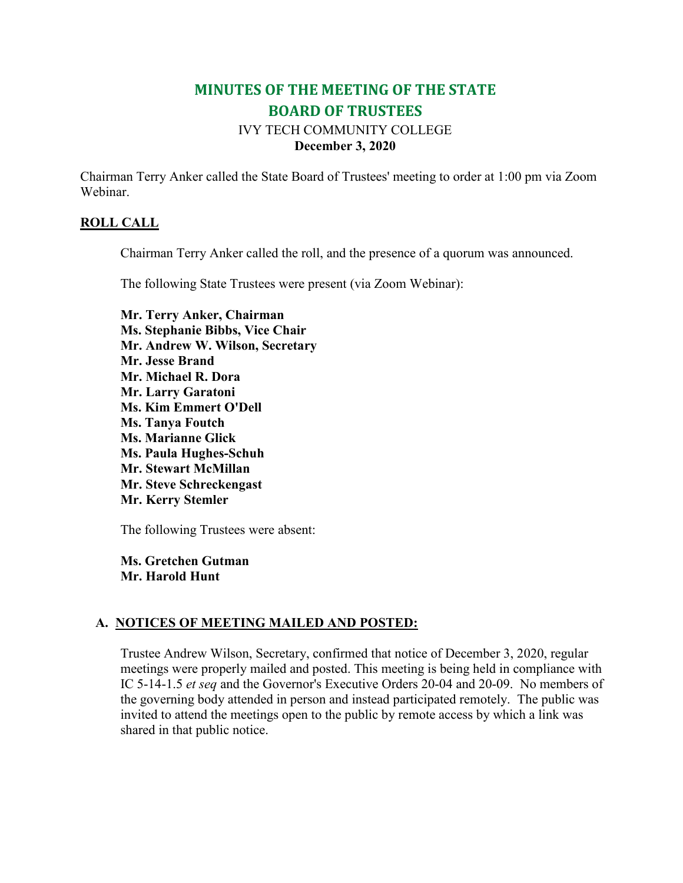# **MINUTES OF THE MEETING OF THE STATE BOARD OF TRUSTEES**

# IVY TECH COMMUNITY COLLEGE **December 3, 2020**

Chairman Terry Anker called the State Board of Trustees' meeting to order at 1:00 pm via Zoom Webinar.

### **ROLL CALL**

Chairman Terry Anker called the roll, and the presence of a quorum was announced.

The following State Trustees were present (via Zoom Webinar):

**Mr. Terry Anker, Chairman Ms. Stephanie Bibbs, Vice Chair Mr. Andrew W. Wilson, Secretary Mr. Jesse Brand Mr. Michael R. Dora Mr. Larry Garatoni Ms. Kim Emmert O'Dell Ms. Tanya Foutch Ms. Marianne Glick Ms. Paula Hughes-Schuh Mr. Stewart McMillan Mr. Steve Schreckengast Mr. Kerry Stemler**

The following Trustees were absent:

**Ms. Gretchen Gutman Mr. Harold Hunt**

### **A. NOTICES OF MEETING MAILED AND POSTED:**

Trustee Andrew Wilson, Secretary, confirmed that notice of December 3, 2020, regular meetings were properly mailed and posted. This meeting is being held in compliance with IC 5-14-1.5 *et seq* and the Governor's Executive Orders 20-04 and 20-09. No members of the governing body attended in person and instead participated remotely. The public was invited to attend the meetings open to the public by remote access by which a link was shared in that public notice.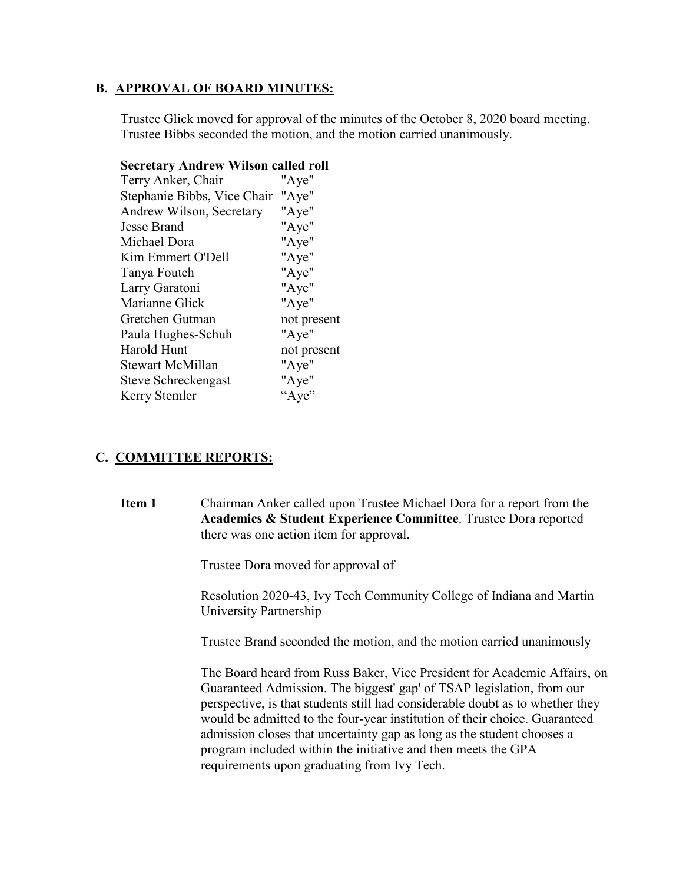### **B. APPROVAL OF BOARD MINUTES:**

Trustee Glick moved for approval of the minutes of the October 8, 2020 board meeting. Trustee Bibbs seconded the motion, and the motion carried unanimously.

| seer etar y txiiur ew "whson" caneu rom |             |
|-----------------------------------------|-------------|
| Terry Anker, Chair                      | "Aye"       |
| Stephanie Bibbs, Vice Chair "Aye"       |             |
| Andrew Wilson, Secretary                | "Aye"       |
| Jesse Brand                             | "Aye"       |
| Michael Dora                            | "Aye"       |
| Kim Emmert O'Dell                       | "Aye"       |
| Tanya Foutch                            | "Aye"       |
| Larry Garatoni                          | "Aye"       |
| Marianne Glick                          | "Aye"       |
| Gretchen Gutman                         | not present |
| Paula Hughes-Schuh                      | "Aye"       |
| Harold Hunt                             | not present |
| Stewart McMillan                        | "Aye"       |
| Steve Schreckengast                     | "Aye"       |
| Kerry Stemler                           | "Aye"       |
|                                         |             |

### **Secretary Andrew Wilson called roll**

### **C. COMMITTEE REPORTS:**

**Item 1** Chairman Anker called upon Trustee Michael Dora for a report from the **Academics & Student Experience Committee**. Trustee Dora reported there was one action item for approval.

Trustee Dora moved for approval of

Resolution 2020-43, Ivy Tech Community College of Indiana and Martin University Partnership

Trustee Brand seconded the motion, and the motion carried unanimously

The Board heard from Russ Baker, Vice President for Academic Affairs, on Guaranteed Admission. The biggest' gap' of TSAP legislation, from our perspective, is that students still had considerable doubt as to whether they would be admitted to the four-year institution of their choice. Guaranteed admission closes that uncertainty gap as long as the student chooses a program included within the initiative and then meets the GPA requirements upon graduating from Ivy Tech.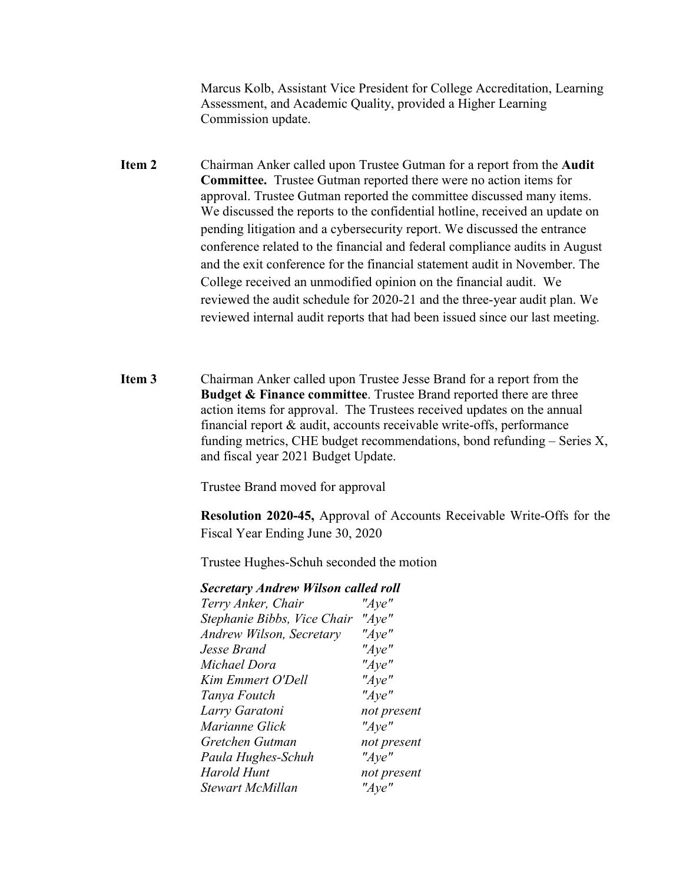Marcus Kolb, Assistant Vice President for College Accreditation, Learning Assessment, and Academic Quality, provided a Higher Learning Commission update.

- **Item 2** Chairman Anker called upon Trustee Gutman for a report from the **Audit Committee.** Trustee Gutman reported there were no action items for approval. Trustee Gutman reported the committee discussed many items. We discussed the reports to the confidential hotline, received an update on pending litigation and a cybersecurity report. We discussed the entrance conference related to the financial and federal compliance audits in August and the exit conference for the financial statement audit in November. The College received an unmodified opinion on the financial audit. We reviewed the audit schedule for 2020-21 and the three-year audit plan. We reviewed internal audit reports that had been issued since our last meeting.
- **Item 3** Chairman Anker called upon Trustee Jesse Brand for a report from the **Budget & Finance committee**. Trustee Brand reported there are three action items for approval. The Trustees received updates on the annual financial report & audit, accounts receivable write-offs, performance funding metrics, CHE budget recommendations, bond refunding – Series X, and fiscal year 2021 Budget Update.

Trustee Brand moved for approval

**Resolution 2020-45,** Approval of Accounts Receivable Write-Offs for the Fiscal Year Ending June 30, 2020

Trustee Hughes-Schuh seconded the motion

#### *Secretary Andrew Wilson called roll*

| Terry Anker, Chair          | "Aye"       |
|-----------------------------|-------------|
| Stephanie Bibbs, Vice Chair | " $Aye$ "   |
| Andrew Wilson, Secretary    | " $Aye$ "   |
| Jesse Brand                 | " $Aye$ "   |
| Michael Dora                | " $Aye$ "   |
| Kim Emmert O'Dell           | " $Aye$ "   |
| Tanya Foutch                | " $Aye$ "   |
| Larry Garatoni              | not present |
| Marianne Glick              | " $Aye$ "   |
| Gretchen Gutman             | not present |
| Paula Hughes-Schuh          | "Aye"       |
| Harold Hunt                 | not present |
| Stewart McMillan            | "Aye"       |
|                             |             |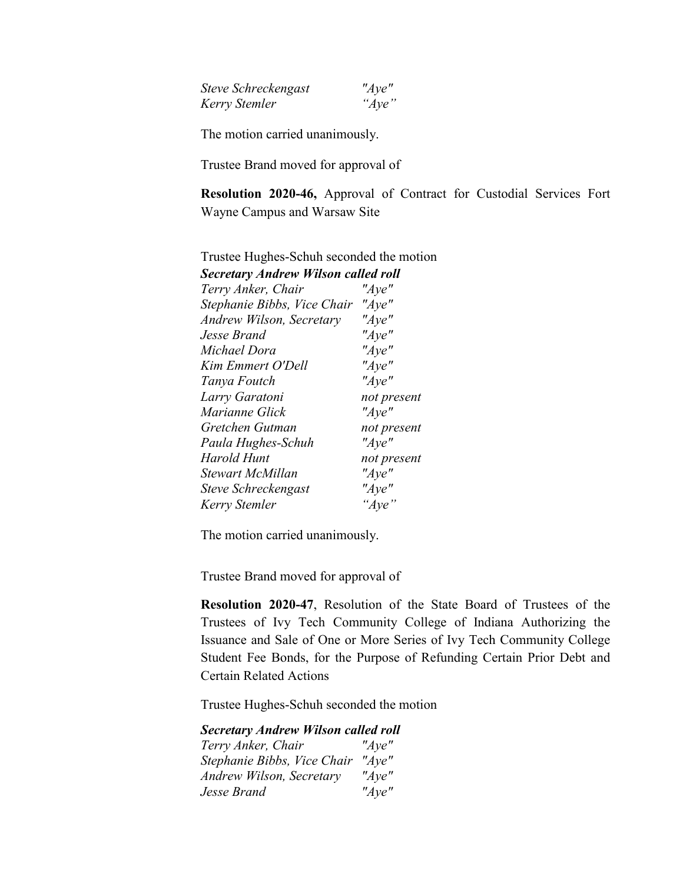| <b>Steve Schreckengast</b> | " $Aye$ " |
|----------------------------|-----------|
| Kerry Stemler              | " $Aye$ " |

The motion carried unanimously.

Trustee Brand moved for approval of

**Resolution 2020-46,** Approval of Contract for Custodial Services Fort Wayne Campus and Warsaw Site

| Tubles Hugheb Bendin Beconde               |  |
|--------------------------------------------|--|
| <b>Secretary Andrew Wilson called roll</b> |  |
| "Aye"                                      |  |
| " $Aye$ "                                  |  |
| " $Aye$ "                                  |  |
| "Aye"                                      |  |
| " $Aye$ "                                  |  |
| " $Aye$ "                                  |  |
| " $Aye$ "                                  |  |
| not present                                |  |
| "Aye"                                      |  |
| not present                                |  |
| "Aye"                                      |  |
| not present                                |  |
| "Aye"                                      |  |
| "Aye"                                      |  |
| "Aye"                                      |  |
|                                            |  |

Trustee Hughes-Schuh seconded the motion

The motion carried unanimously.

Trustee Brand moved for approval of

**Resolution 2020-47**, Resolution of the State Board of Trustees of the Trustees of Ivy Tech Community College of Indiana Authorizing the Issuance and Sale of One or More Series of Ivy Tech Community College Student Fee Bonds, for the Purpose of Refunding Certain Prior Debt and Certain Related Actions

Trustee Hughes-Schuh seconded the motion

*Secretary Andrew Wilson called roll Terry Anker, Chair "Aye" Stephanie Bibbs, Vice Chair "Aye" Andrew Wilson, Secretary "Aye" Jesse Brand "Aye"*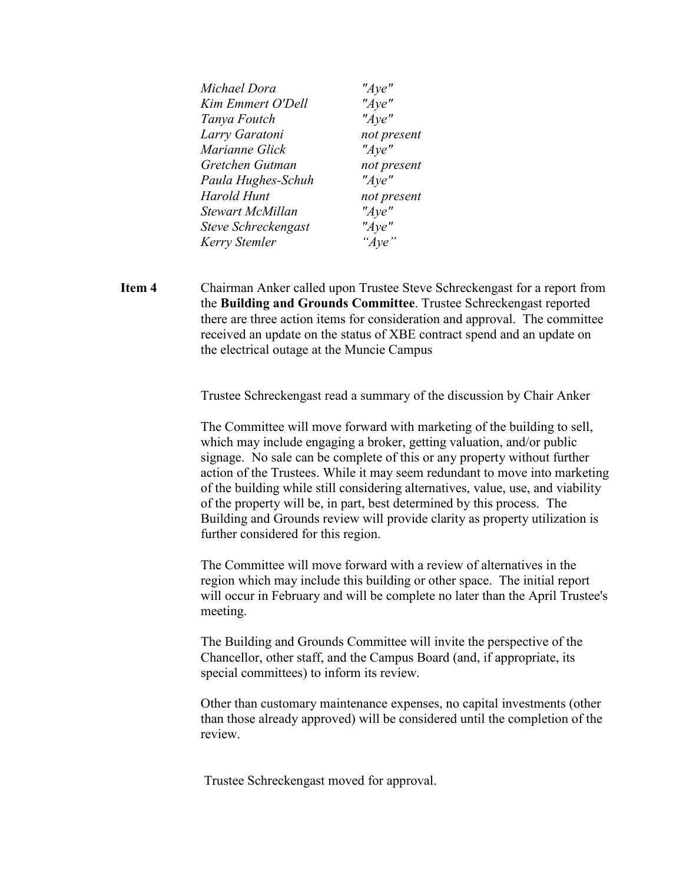| Michael Dora            | "Aye"       |
|-------------------------|-------------|
| Kim Emmert O'Dell       | "Aye"       |
| Tanya Foutch            | "Aye"       |
| Larry Garatoni          | not present |
| Marianne Glick          | " $Aye$ "   |
| Gretchen Gutman         | not present |
| Paula Hughes-Schuh      | " $Aye$ "   |
| <b>Harold Hunt</b>      | not present |
| <b>Stewart McMillan</b> | "Ave"       |
| Steve Schreckengast     | "Ave"       |
| Kerry Stemler           | "Ave"       |

**Item 4** Chairman Anker called upon Trustee Steve Schreckengast for a report from the **Building and Grounds Committee**. Trustee Schreckengast reported there are three action items for consideration and approval. The committee received an update on the status of XBE contract spend and an update on the electrical outage at the Muncie Campus

Trustee Schreckengast read a summary of the discussion by Chair Anker

The Committee will move forward with marketing of the building to sell, which may include engaging a broker, getting valuation, and/or public signage. No sale can be complete of this or any property without further action of the Trustees. While it may seem redundant to move into marketing of the building while still considering alternatives, value, use, and viability of the property will be, in part, best determined by this process. The Building and Grounds review will provide clarity as property utilization is further considered for this region.

The Committee will move forward with a review of alternatives in the region which may include this building or other space. The initial report will occur in February and will be complete no later than the April Trustee's meeting.

The Building and Grounds Committee will invite the perspective of the Chancellor, other staff, and the Campus Board (and, if appropriate, its special committees) to inform its review.

Other than customary maintenance expenses, no capital investments (other than those already approved) will be considered until the completion of the review.

Trustee Schreckengast moved for approval.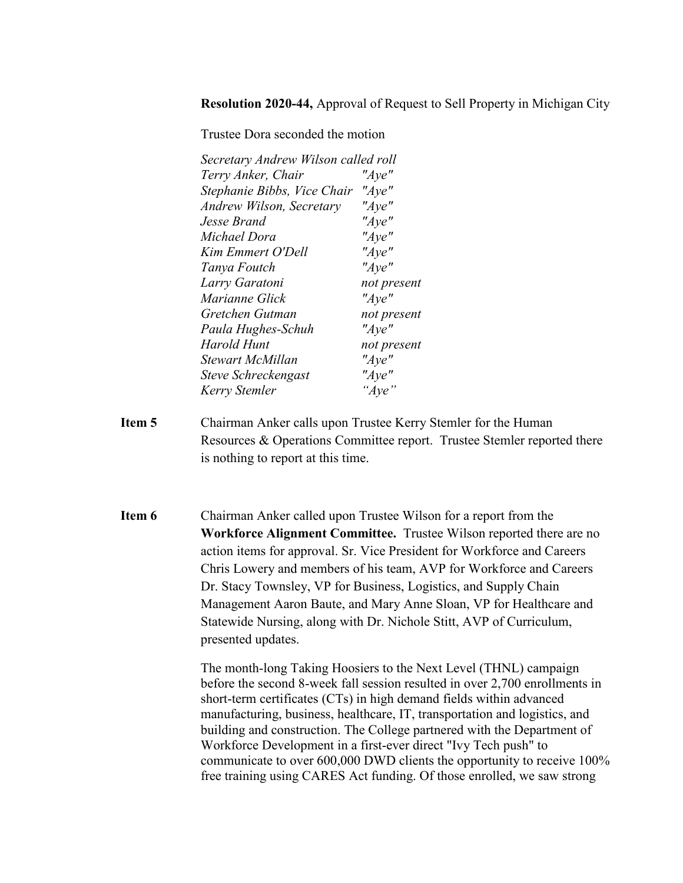**Resolution 2020-44,** Approval of Request to Sell Property in Michigan City

Trustee Dora seconded the motion

| Secretary Andrew Wilson called roll |             |
|-------------------------------------|-------------|
| Terry Anker, Chair                  | " $Aye$ "   |
| Stephanie Bibbs, Vice Chair         | " $Aye$ "   |
| Andrew Wilson, Secretary            | "Aye"       |
| Jesse Brand                         | " $Aye$ "   |
| Michael Dora                        | " $Aye$ "   |
| Kim Emmert O'Dell                   | " $Aye$ "   |
| Tanya Foutch                        | " $Aye$ "   |
| Larry Garatoni                      | not present |
| Marianne Glick                      | " $Aye$ "   |
| Gretchen Gutman                     | not present |
| Paula Hughes-Schuh                  | " $Aye$ "   |
| Harold Hunt                         | not present |
| <b>Stewart McMillan</b>             | " $Aye$ "   |
| Steve Schreckengast                 | "Aye"       |
| Kerry Stemler                       | "Aye"       |

- **Item 5** Chairman Anker calls upon Trustee Kerry Stemler for the Human Resources & Operations Committee report. Trustee Stemler reported there is nothing to report at this time.
- **Item 6** Chairman Anker called upon Trustee Wilson for a report from the **Workforce Alignment Committee.** Trustee Wilson reported there are no action items for approval. Sr. Vice President for Workforce and Careers Chris Lowery and members of his team, AVP for Workforce and Careers Dr. Stacy Townsley, VP for Business, Logistics, and Supply Chain Management Aaron Baute, and Mary Anne Sloan, VP for Healthcare and Statewide Nursing, along with Dr. Nichole Stitt, AVP of Curriculum, presented updates.

The month-long Taking Hoosiers to the Next Level (THNL) campaign before the second 8-week fall session resulted in over 2,700 enrollments in short-term certificates (CTs) in high demand fields within advanced manufacturing, business, healthcare, IT, transportation and logistics, and building and construction. The College partnered with the Department of Workforce Development in a first-ever direct "Ivy Tech push" to communicate to over 600,000 DWD clients the opportunity to receive 100% free training using CARES Act funding. Of those enrolled, we saw strong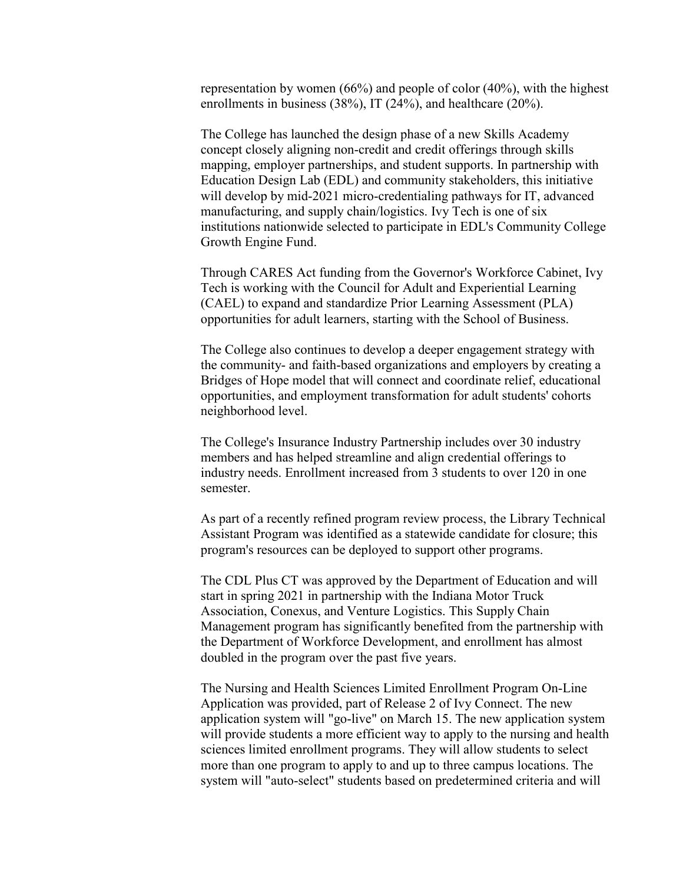representation by women (66%) and people of color (40%), with the highest enrollments in business (38%), IT (24%), and healthcare (20%).

The College has launched the design phase of a new Skills Academy concept closely aligning non-credit and credit offerings through skills mapping, employer partnerships, and student supports. In partnership with Education Design Lab (EDL) and community stakeholders, this initiative will develop by mid-2021 micro-credentialing pathways for IT, advanced manufacturing, and supply chain/logistics. Ivy Tech is one of six institutions nationwide selected to participate in EDL's Community College Growth Engine Fund.

Through CARES Act funding from the Governor's Workforce Cabinet, Ivy Tech is working with the Council for Adult and Experiential Learning (CAEL) to expand and standardize Prior Learning Assessment (PLA) opportunities for adult learners, starting with the School of Business.

The College also continues to develop a deeper engagement strategy with the community- and faith-based organizations and employers by creating a Bridges of Hope model that will connect and coordinate relief, educational opportunities, and employment transformation for adult students' cohorts neighborhood level.

The College's Insurance Industry Partnership includes over 30 industry members and has helped streamline and align credential offerings to industry needs. Enrollment increased from 3 students to over 120 in one semester.

As part of a recently refined program review process, the Library Technical Assistant Program was identified as a statewide candidate for closure; this program's resources can be deployed to support other programs.

The CDL Plus CT was approved by the Department of Education and will start in spring 2021 in partnership with the Indiana Motor Truck Association, Conexus, and Venture Logistics. This Supply Chain Management program has significantly benefited from the partnership with the Department of Workforce Development, and enrollment has almost doubled in the program over the past five years.

The Nursing and Health Sciences Limited Enrollment Program On-Line Application was provided, part of Release 2 of Ivy Connect. The new application system will "go-live" on March 15. The new application system will provide students a more efficient way to apply to the nursing and health sciences limited enrollment programs. They will allow students to select more than one program to apply to and up to three campus locations. The system will "auto-select" students based on predetermined criteria and will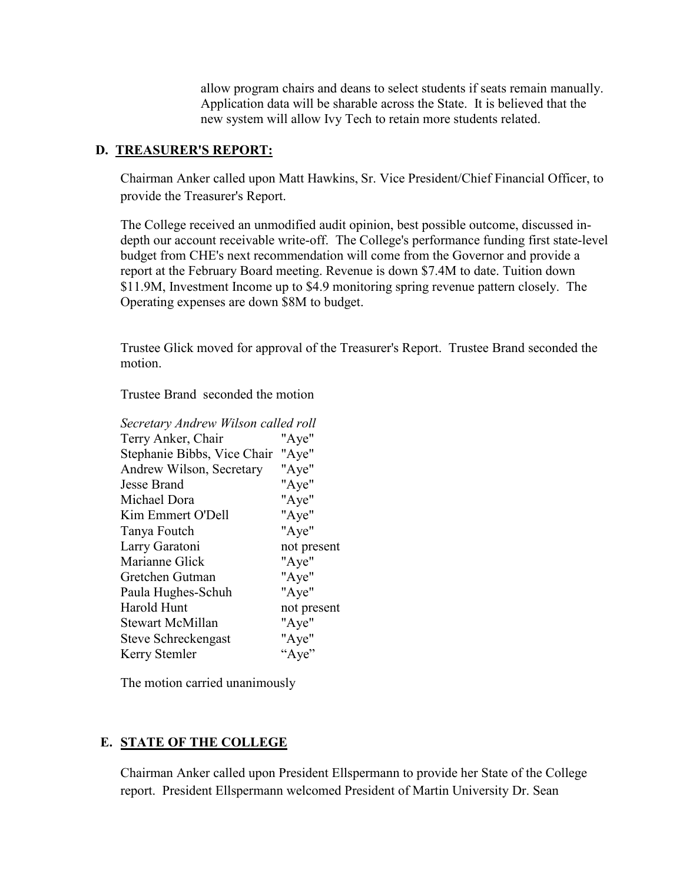allow program chairs and deans to select students if seats remain manually. Application data will be sharable across the State. It is believed that the new system will allow Ivy Tech to retain more students related.

### **D. TREASURER'S REPORT:**

Chairman Anker called upon Matt Hawkins, Sr. Vice President/Chief Financial Officer, to provide the Treasurer's Report.

The College received an unmodified audit opinion, best possible outcome, discussed indepth our account receivable write-off. The College's performance funding first state-level budget from CHE's next recommendation will come from the Governor and provide a report at the February Board meeting. Revenue is down \$7.4M to date. Tuition down \$11.9M, Investment Income up to \$4.9 monitoring spring revenue pattern closely. The Operating expenses are down \$8M to budget.

Trustee Glick moved for approval of the Treasurer's Report. Trustee Brand seconded the motion.

Trustee Brand seconded the motion

| Secretary Andrew Wilson called roll |             |
|-------------------------------------|-------------|
| Terry Anker, Chair                  | "Aye"       |
| Stephanie Bibbs, Vice Chair         | "Aye"       |
| Andrew Wilson, Secretary            | "Aye"       |
| <b>Jesse Brand</b>                  | "Aye"       |
| Michael Dora                        | "Aye"       |
| Kim Emmert O'Dell                   | "Aye"       |
| Tanya Foutch                        | "Aye"       |
| Larry Garatoni                      | not present |
| Marianne Glick                      | "Aye"       |
| Gretchen Gutman                     | "Aye"       |
| Paula Hughes-Schuh                  | "Aye"       |
| Harold Hunt                         | not present |
| <b>Stewart McMillan</b>             | "Aye"       |
| Steve Schreckengast                 | "Aye"       |
| Kerry Stemler                       | "Aye"       |

The motion carried unanimously

# **E. STATE OF THE COLLEGE**

Chairman Anker called upon President Ellspermann to provide her State of the College report. President Ellspermann welcomed President of Martin University Dr. Sean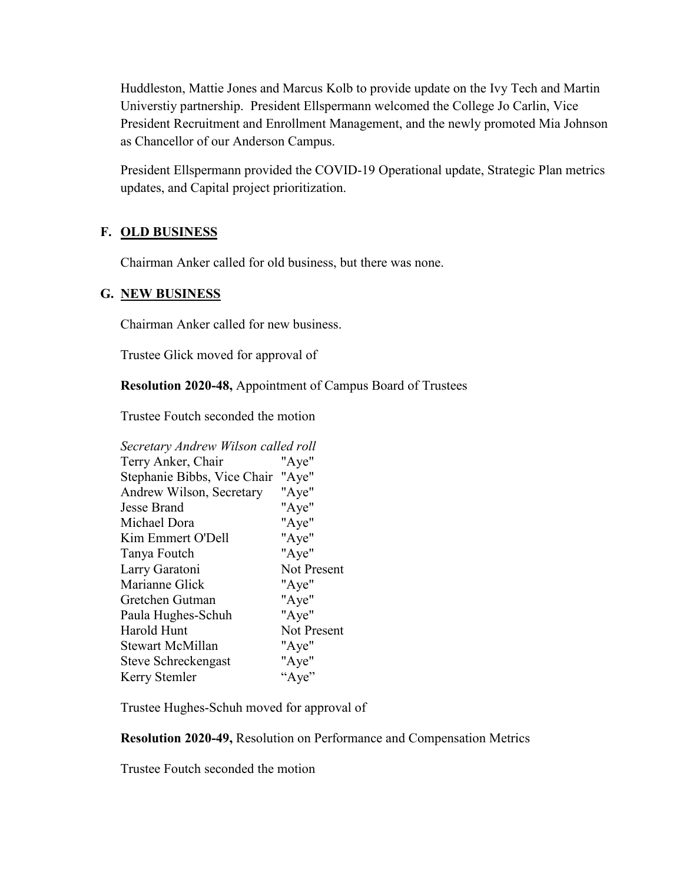Huddleston, Mattie Jones and Marcus Kolb to provide update on the Ivy Tech and Martin Universtiy partnership. President Ellspermann welcomed the College Jo Carlin, Vice President Recruitment and Enrollment Management, and the newly promoted Mia Johnson as Chancellor of our Anderson Campus.

President Ellspermann provided the COVID-19 Operational update, Strategic Plan metrics updates, and Capital project prioritization.

# **F. OLD BUSINESS**

Chairman Anker called for old business, but there was none.

### **G. NEW BUSINESS**

Chairman Anker called for new business.

Trustee Glick moved for approval of

**Resolution 2020-48,** Appointment of Campus Board of Trustees

Trustee Foutch seconded the motion

| Secretary Andrew Wilson called roll |             |
|-------------------------------------|-------------|
| Terry Anker, Chair                  | "Aye"       |
| Stephanie Bibbs, Vice Chair         | "Aye"       |
| Andrew Wilson, Secretary            | "Aye"       |
| Jesse Brand                         | "Aye"       |
| Michael Dora                        | "Aye"       |
| Kim Emmert O'Dell                   | "Aye"       |
| Tanya Foutch                        | "Aye"       |
| Larry Garatoni                      | Not Present |
| Marianne Glick                      | "Aye"       |
| Gretchen Gutman                     | "Aye"       |
| Paula Hughes-Schuh                  | "Aye"       |
| Harold Hunt                         | Not Present |
| <b>Stewart McMillan</b>             | "Aye"       |
| Steve Schreckengast                 | "Aye"       |
| Kerry Stemler                       | "Aye"       |
|                                     |             |

Trustee Hughes-Schuh moved for approval of

**Resolution 2020-49,** Resolution on Performance and Compensation Metrics

Trustee Foutch seconded the motion